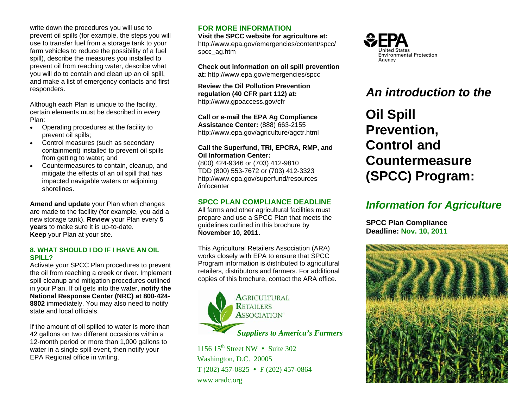write down the procedures you will use to prevent oil spills (for example, the steps you will use to transfer fuel from a storage tank to your farm vehicles to reduce the possibility of a fuel spill), describe the measures you installed to prevent oil from reaching water, describe what you will do to contain and clean up an oil spill, and make a list of emergency contacts and first responders.

Although each Plan is unique to the facility, certain elements must be described in every Plan:

- Operating procedures at the facility to prevent oil spills;
- Control measures (such as secondary containment) installed to prevent oil spills from getting to water; and
- Countermeasures to contain, cleanup, and mitigate the effects of an oil spill that has impacted navigable waters or adjoining shorelines.

**Amend and update** your Plan when changes are made to the facility (for example, you add a new storage tank). **Review** your Plan every **5 years** to make sure it is up-to-date. **Keep** your Plan at your site.

#### **8. WHAT SHOULD I DO IF I HAVE AN OIL SPILL?**

Activate your SPCC Plan procedures to prevent the oil from reaching a creek or river. Implement spill cleanup and mitigation procedures outlined in your Plan. If oil gets into the water, **notify the National Response Center (NRC) at 800-424- 8802** immediately. You may also need to notify state and local officials.

If the amount of oil spilled to water is more than 42 gallons on two different occasions within a 12-month period or more than 1,000 gallons to water in a single spill event, then notify your EPA Regional office in writing.

### **FOR MORE INFORMATION**

**Visit the SPCC website for agriculture at:** http://www.epa.gov/emergencies/content/spcc/ spcc\_ag.htm

**Check out information on oil spill prevention at:** <http://www.epa.gov/emergencies/spcc>

**Review the Oil Pollution Prevention regulation (40 CFR part 112) at:** http://www.gpoaccess.gov/cfr

**Call or e-mail the EPA Ag Compliance Assistance Center:** (888) 663-2155 <http://www.epa.gov/agriculture/agctr.html>

#### **Call the Superfund, TRI, EPCRA, RMP, and Oil Information Center:**

(800) 424-9346 or (703) 412-9810 TDD (800) 553-7672 or (703) 412-3323 http:/[/www.epa.gov/superfund/resources](http://www.epa.gov/superfund/resources)  /infocenter

## **SPCC PLAN COMPLIANCE DEADLINE**

All farms and other agricultural facilities must prepare and use a SPCC Plan that meets the guidelines outlined in this brochure by **November 10, 2011.** 

This Agricultural Retailers Association (ARA) works closely with EPA to ensure that SPCC Program information is distributed to agricultural retailers, distributors and farmers. For additional copies of this brochure, contact the ARA office.



1156  $15^{th}$  Street NW • Suite 302 Washington, D.C. 20005  $T(202)$  457-0825 • F (202) 457-0864 www.aradc.org



# *An introduction to the*

**Oil Spill Prevention, Control and Countermeasure (SPCC) Program:** 

# *Information for Agriculture*

**SPCC Plan Compliance Deadline: Nov. 10, 2011**